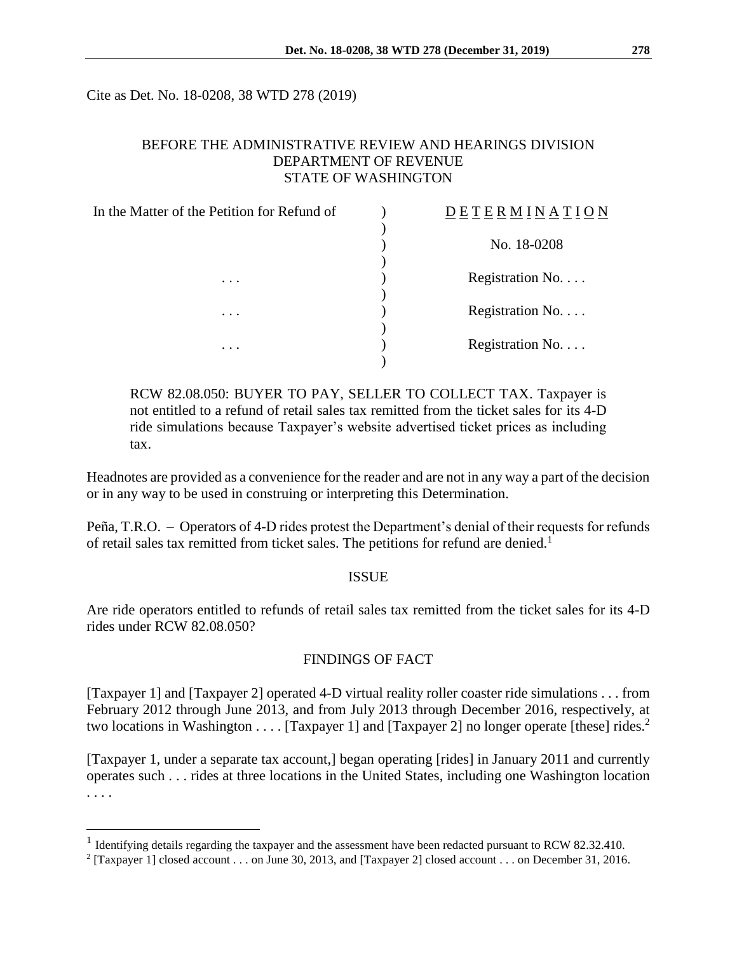Cite as Det. No. 18-0208, 38 WTD 278 (2019)

### BEFORE THE ADMINISTRATIVE REVIEW AND HEARINGS DIVISION DEPARTMENT OF REVENUE STATE OF WASHINGTON

| In the Matter of the Petition for Refund of<br>$\cdot$ | <b>DETERMINATION</b> |
|--------------------------------------------------------|----------------------|
|                                                        | No. 18-0208          |
|                                                        | Registration No.     |
|                                                        |                      |
| $\cdots$                                               | Registration No.     |
| .                                                      | Registration No.     |

RCW 82.08.050: BUYER TO PAY, SELLER TO COLLECT TAX. Taxpayer is not entitled to a refund of retail sales tax remitted from the ticket sales for its 4-D ride simulations because Taxpayer's website advertised ticket prices as including tax.

Headnotes are provided as a convenience for the reader and are not in any way a part of the decision or in any way to be used in construing or interpreting this Determination.

Peña, T.R.O. – Operators of 4-D rides protest the Department's denial of their requests for refunds of retail sales tax remitted from ticket sales. The petitions for refund are denied.<sup>1</sup>

#### **ISSUE**

Are ride operators entitled to refunds of retail sales tax remitted from the ticket sales for its 4-D rides under RCW 82.08.050?

#### FINDINGS OF FACT

[Taxpayer 1] and [Taxpayer 2] operated 4-D virtual reality roller coaster ride simulations . . . from February 2012 through June 2013, and from July 2013 through December 2016, respectively, at two locations in Washington . . . . [Taxpayer 1] and [Taxpayer 2] no longer operate [these] rides.<sup>2</sup>

[Taxpayer 1, under a separate tax account,] began operating [rides] in January 2011 and currently operates such . . . rides at three locations in the United States, including one Washington location . . . .

 $\overline{a}$ 

<sup>&</sup>lt;sup>1</sup> Identifying details regarding the taxpayer and the assessment have been redacted pursuant to RCW 82.32.410.

<sup>&</sup>lt;sup>2</sup> [Taxpayer 1] closed account . . . on June 30, 2013, and [Taxpayer 2] closed account . . . on December 31, 2016.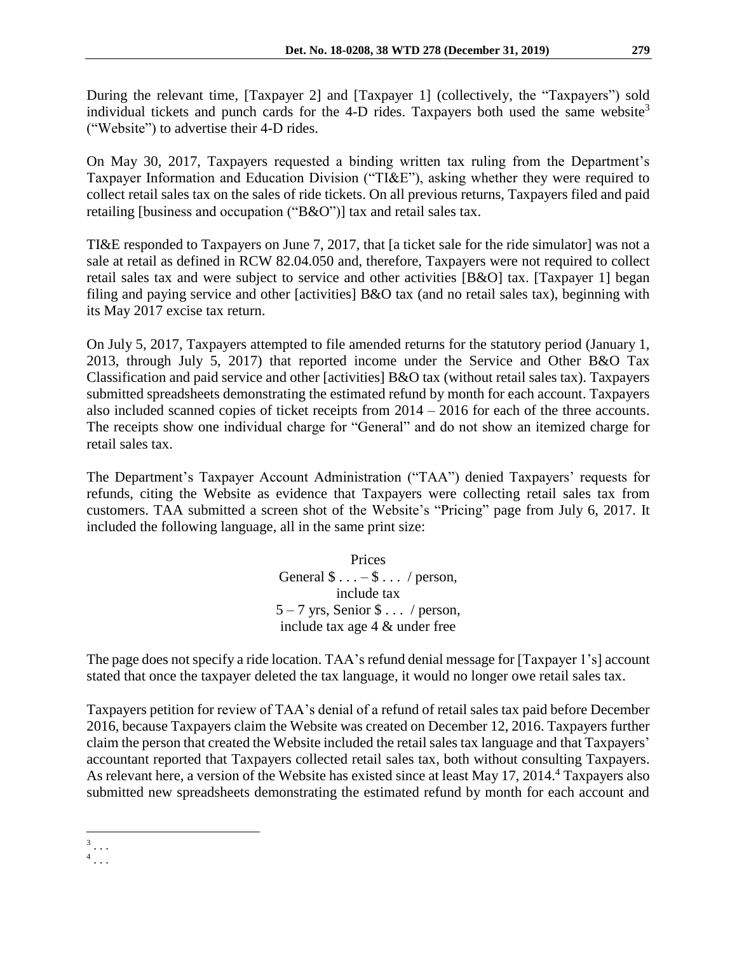During the relevant time, [Taxpayer 2] and [Taxpayer 1] (collectively, the "Taxpayers") sold individual tickets and punch cards for the 4-D rides. Taxpayers both used the same website<sup>3</sup> ("Website") to advertise their 4-D rides.

On May 30, 2017, Taxpayers requested a binding written tax ruling from the Department's Taxpayer Information and Education Division ("TI&E"), asking whether they were required to collect retail sales tax on the sales of ride tickets. On all previous returns, Taxpayers filed and paid retailing [business and occupation ("B&O")] tax and retail sales tax.

TI&E responded to Taxpayers on June 7, 2017, that [a ticket sale for the ride simulator] was not a sale at retail as defined in RCW 82.04.050 and, therefore, Taxpayers were not required to collect retail sales tax and were subject to service and other activities [B&O] tax. [Taxpayer 1] began filing and paying service and other [activities] B&O tax (and no retail sales tax), beginning with its May 2017 excise tax return.

On July 5, 2017, Taxpayers attempted to file amended returns for the statutory period (January 1, 2013, through July 5, 2017) that reported income under the Service and Other B&O Tax Classification and paid service and other [activities] B&O tax (without retail sales tax). Taxpayers submitted spreadsheets demonstrating the estimated refund by month for each account. Taxpayers also included scanned copies of ticket receipts from 2014 – 2016 for each of the three accounts. The receipts show one individual charge for "General" and do not show an itemized charge for retail sales tax.

The Department's Taxpayer Account Administration ("TAA") denied Taxpayers' requests for refunds, citing the Website as evidence that Taxpayers were collecting retail sales tax from customers. TAA submitted a screen shot of the Website's "Pricing" page from July 6, 2017. It included the following language, all in the same print size:

> Prices General  $\$\dots -\$\dots$  / person, include tax  $5 - 7$  yrs, Senior  $\frac{6}{3}$ ... / person, include tax age 4 & under free

The page does not specify a ride location. TAA's refund denial message for [Taxpayer 1's] account stated that once the taxpayer deleted the tax language, it would no longer owe retail sales tax.

Taxpayers petition for review of TAA's denial of a refund of retail sales tax paid before December 2016, because Taxpayers claim the Website was created on December 12, 2016. Taxpayers further claim the person that created the Website included the retail sales tax language and that Taxpayers' accountant reported that Taxpayers collected retail sales tax, both without consulting Taxpayers. As relevant here, a version of the Website has existed since at least May 17, 2014. <sup>4</sup> Taxpayers also submitted new spreadsheets demonstrating the estimated refund by month for each account and

 $\overline{a}$ 3 . . .

<sup>4</sup> . . .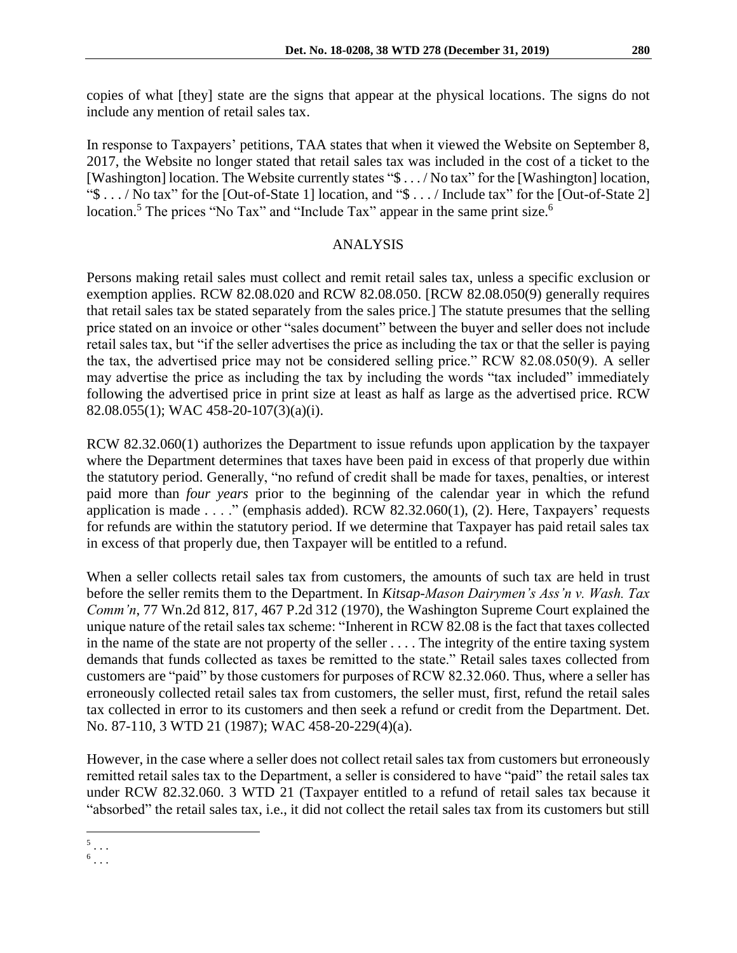copies of what [they] state are the signs that appear at the physical locations. The signs do not include any mention of retail sales tax.

In response to Taxpayers' petitions, TAA states that when it viewed the Website on September 8, 2017, the Website no longer stated that retail sales tax was included in the cost of a ticket to the [Washington] location. The Website currently states "\$ . . . / No tax" for the [Washington] location, "\$ . . . / No tax" for the [Out-of-State 1] location, and "\$ . . . / Include tax" for the [Out-of-State 2] location.<sup>5</sup> The prices "No Tax" and "Include Tax" appear in the same print size.<sup>6</sup>

## ANALYSIS

Persons making retail sales must collect and remit retail sales tax, unless a specific exclusion or exemption applies. RCW 82.08.020 and RCW 82.08.050. [RCW 82.08.050(9) generally requires that retail sales tax be stated separately from the sales price.] The statute presumes that the selling price stated on an invoice or other "sales document" between the buyer and seller does not include retail sales tax, but "if the seller advertises the price as including the tax or that the seller is paying the tax, the advertised price may not be considered selling price." RCW 82.08.050(9). A seller may advertise the price as including the tax by including the words "tax included" immediately following the advertised price in print size at least as half as large as the advertised price. RCW 82.08.055(1); WAC 458-20-107(3)(a)(i).

RCW 82.32.060(1) authorizes the Department to issue refunds upon application by the taxpayer where the Department determines that taxes have been paid in excess of that properly due within the statutory period. Generally, "no refund of credit shall be made for taxes, penalties, or interest paid more than *four years* prior to the beginning of the calendar year in which the refund application is made . . . ." (emphasis added). RCW 82.32.060(1), (2). Here, Taxpayers' requests for refunds are within the statutory period. If we determine that Taxpayer has paid retail sales tax in excess of that properly due, then Taxpayer will be entitled to a refund.

When a seller collects retail sales tax from customers, the amounts of such tax are held in trust before the seller remits them to the Department. In *Kitsap-Mason Dairymen's Ass'n v. Wash. Tax Comm'n*, 77 Wn.2d 812, 817, 467 P.2d 312 (1970), the Washington Supreme Court explained the unique nature of the retail sales tax scheme: "Inherent in RCW 82.08 is the fact that taxes collected in the name of the state are not property of the seller . . . . The integrity of the entire taxing system demands that funds collected as taxes be remitted to the state." Retail sales taxes collected from customers are "paid" by those customers for purposes of RCW 82.32.060. Thus, where a seller has erroneously collected retail sales tax from customers, the seller must, first, refund the retail sales tax collected in error to its customers and then seek a refund or credit from the Department. Det. No. 87-110, 3 WTD 21 (1987); WAC 458-20-229(4)(a).

However, in the case where a seller does not collect retail sales tax from customers but erroneously remitted retail sales tax to the Department, a seller is considered to have "paid" the retail sales tax under RCW 82.32.060. 3 WTD 21 (Taxpayer entitled to a refund of retail sales tax because it "absorbed" the retail sales tax, i.e., it did not collect the retail sales tax from its customers but still

 $5 \ldots$ 

 $^6$ ...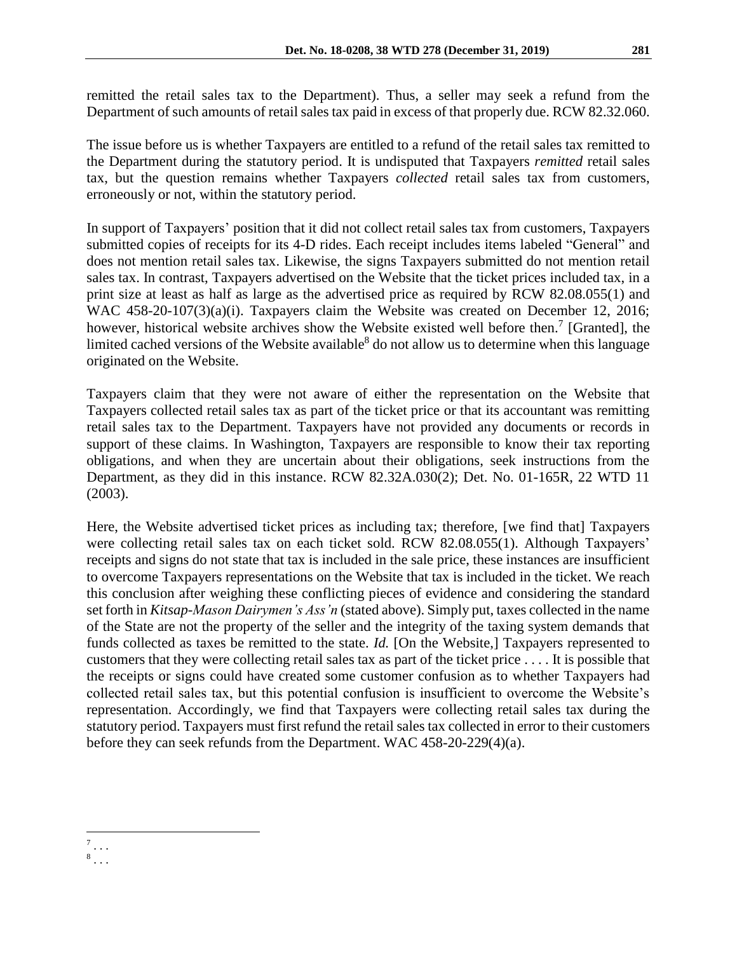remitted the retail sales tax to the Department). Thus, a seller may seek a refund from the Department of such amounts of retail sales tax paid in excess of that properly due. RCW 82.32.060.

The issue before us is whether Taxpayers are entitled to a refund of the retail sales tax remitted to the Department during the statutory period. It is undisputed that Taxpayers *remitted* retail sales tax, but the question remains whether Taxpayers *collected* retail sales tax from customers, erroneously or not, within the statutory period.

In support of Taxpayers' position that it did not collect retail sales tax from customers, Taxpayers submitted copies of receipts for its 4-D rides. Each receipt includes items labeled "General" and does not mention retail sales tax. Likewise, the signs Taxpayers submitted do not mention retail sales tax. In contrast, Taxpayers advertised on the Website that the ticket prices included tax, in a print size at least as half as large as the advertised price as required by RCW 82.08.055(1) and WAC 458-20-107(3)(a)(i). Taxpayers claim the Website was created on December 12, 2016; however, historical website archives show the Website existed well before then.<sup>7</sup> [Granted], the limited cached versions of the Website available<sup>8</sup> do not allow us to determine when this language originated on the Website.

Taxpayers claim that they were not aware of either the representation on the Website that Taxpayers collected retail sales tax as part of the ticket price or that its accountant was remitting retail sales tax to the Department. Taxpayers have not provided any documents or records in support of these claims. In Washington, Taxpayers are responsible to know their tax reporting obligations, and when they are uncertain about their obligations, seek instructions from the Department, as they did in this instance. RCW 82.32A.030(2); Det. No. 01-165R, 22 WTD 11 (2003).

Here, the Website advertised ticket prices as including tax; therefore, [we find that] Taxpayers were collecting retail sales tax on each ticket sold. RCW 82.08.055(1). Although Taxpayers' receipts and signs do not state that tax is included in the sale price, these instances are insufficient to overcome Taxpayers representations on the Website that tax is included in the ticket. We reach this conclusion after weighing these conflicting pieces of evidence and considering the standard set forth in *Kitsap-Mason Dairymen's Ass'n* (stated above). Simply put, taxes collected in the name of the State are not the property of the seller and the integrity of the taxing system demands that funds collected as taxes be remitted to the state. *Id.* [On the Website,] Taxpayers represented to customers that they were collecting retail sales tax as part of the ticket price . . . . It is possible that the receipts or signs could have created some customer confusion as to whether Taxpayers had collected retail sales tax, but this potential confusion is insufficient to overcome the Website's representation. Accordingly, we find that Taxpayers were collecting retail sales tax during the statutory period. Taxpayers must first refund the retail sales tax collected in error to their customers before they can seek refunds from the Department. WAC 458-20-229(4)(a).

 $\overline{a}$ 7 . . .

<sup>8</sup> . . .